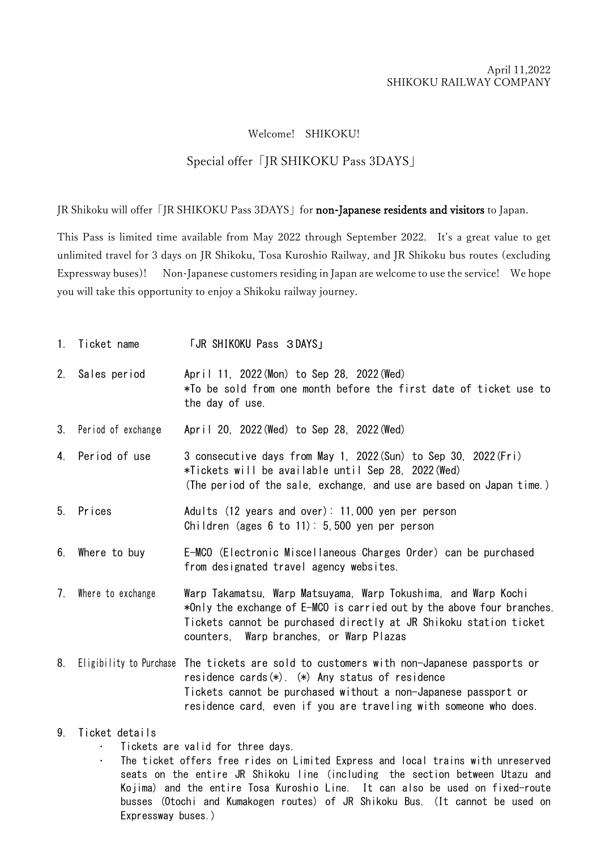## Welcome! SHIKOKU!

## Special offer「JR SHIKOKU Pass 3DAYS」

JR Shikoku will offer [JR SHIKOKU Pass 3DAYS] for non-Japanese residents and visitors to Japan.

This Pass is limited time available from May 2022 through September 2022. It's a great value to get unlimited travel for 3 days on JR Shikoku, Tosa Kuroshio Railway, and JR Shikoku bus routes (excluding Expressway buses)! Non-Japanese customers residing in Japan are welcome to use the service! We hope you will take this opportunity to enjoy a Shikoku railway journey.

1. Ticket name **FUR SHIKOKU Pass 3DAYS** 2. Sales period April 11, 2022(Mon) to Sep 28, 2022(Wed) \*To be sold from one month before the first date of ticket use to the day of use. 3. Period of exchange April 20, 2022(Wed) to Sep 28, 2022(Wed) 4. Period of use 3 consecutive days from May 1, 2022(Sun) to Sep 30, 2022(Fri) \*Tickets will be available until Sep 28, 2022(Wed) (The period of the sale, exchange, and use are based on Japan time.) 5. Prices Adults (12 years and over): 11,000 yen per person Children (ages  $6$  to  $11$ ):  $5,500$  yen per person 6. Where to buy E-MCO (Electronic Miscellaneous Charges Order) can be purchased from designated travel agency websites. 7. Where to exchange Warp Takamatsu, Warp Matsuyama, Warp Tokushima, and Warp Kochi \*Only the exchange of E-MCO is carried out by the above four branches. Tickets cannot be purchased directly at JR Shikoku station ticket counters, Warp branches, or Warp Plazas 8. Eligibility to Purchase The tickets are sold to customers with non-Japanese passports or residence cards(\*). (\*) Any status of residence Tickets cannot be purchased without a non-Japanese passport or

## 9. Ticket details

- Tickets are valid for three days.
- The ticket offers free rides on Limited Express and local trains with unreserved seats on the entire JR Shikoku line (including the section between Utazu and Kojima) and the entire Tosa Kuroshio Line. It can also be used on fixed-route busses (Otochi and Kumakogen routes) of JR Shikoku Bus. (It cannot be used on Expressway buses.)

residence card, even if you are traveling with someone who does.